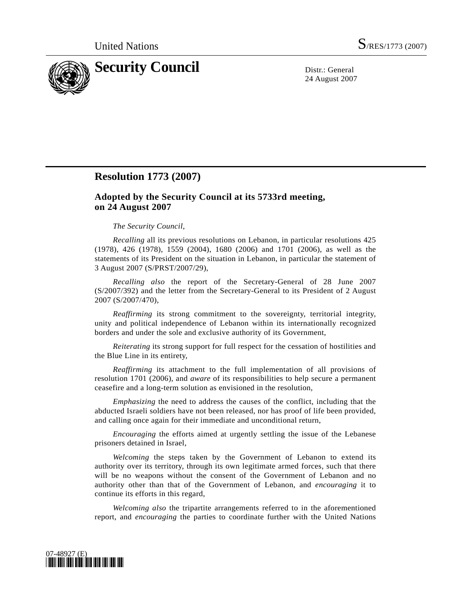

24 August 2007

## **Resolution 1773 (2007)**

## **Adopted by the Security Council at its 5733rd meeting, on 24 August 2007**

## *The Security Council*,

*Recalling* all its previous resolutions on Lebanon, in particular resolutions 425 (1978), 426 (1978), 1559 (2004), 1680 (2006) and 1701 (2006), as well as the statements of its President on the situation in Lebanon, in particular the statement of 3 August 2007 (S/PRST/2007/29),

*Recalling also* the report of the Secretary-General of 28 June 2007 (S/2007/392) and the letter from the Secretary-General to its President of 2 August 2007 (S/2007/470),

*Reaffirming* its strong commitment to the sovereignty, territorial integrity, unity and political independence of Lebanon within its internationally recognized borders and under the sole and exclusive authority of its Government,

*Reiterating* its strong support for full respect for the cessation of hostilities and the Blue Line in its entirety,

*Reaffirming* its attachment to the full implementation of all provisions of resolution 1701 (2006), and *aware* of its responsibilities to help secure a permanent ceasefire and a long-term solution as envisioned in the resolution,

*Emphasizing* the need to address the causes of the conflict, including that the abducted Israeli soldiers have not been released, nor has proof of life been provided, and calling once again for their immediate and unconditional return,

*Encouraging* the efforts aimed at urgently settling the issue of the Lebanese prisoners detained in Israel,

*Welcoming* the steps taken by the Government of Lebanon to extend its authority over its territory, through its own legitimate armed forces, such that there will be no weapons without the consent of the Government of Lebanon and no authority other than that of the Government of Lebanon, and *encouraging* it to continue its efforts in this regard,

*Welcoming also* the tripartite arrangements referred to in the aforementioned report, and *encouraging* the parties to coordinate further with the United Nations

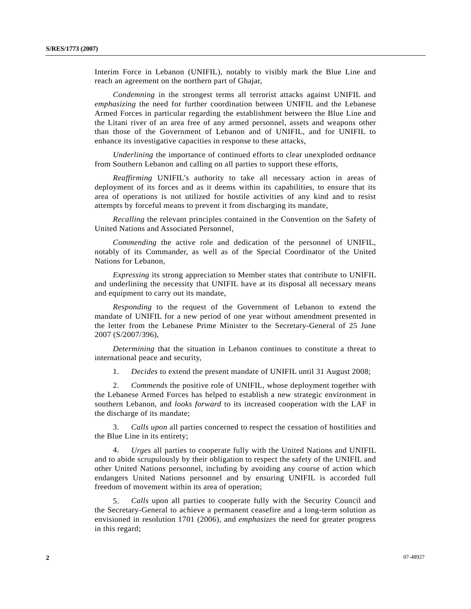Interim Force in Lebanon (UNIFIL), notably to visibly mark the Blue Line and reach an agreement on the northern part of Ghajar,

*Condemning* in the strongest terms all terrorist attacks against UNIFIL and *emphasizing* the need for further coordination between UNIFIL and the Lebanese Armed Forces in particular regarding the establishment between the Blue Line and the Litani river of an area free of any armed personnel, assets and weapons other than those of the Government of Lebanon and of UNIFIL, and for UNIFIL to enhance its investigative capacities in response to these attacks,

*Underlining* the importance of continued efforts to clear unexploded ordnance from Southern Lebanon and calling on all parties to support these efforts,

*Reaffirming* UNIFIL's authority to take all necessary action in areas of deployment of its forces and as it deems within its capabilities, to ensure that its area of operations is not utilized for hostile activities of any kind and to resist attempts by forceful means to prevent it from discharging its mandate,

*Recalling* the relevant principles contained in the Convention on the Safety of United Nations and Associated Personnel,

*Commending* the active role and dedication of the personnel of UNIFIL, notably of its Commander, as well as of the Special Coordinator of the United Nations for Lebanon,

*Expressing* its strong appreciation to Member states that contribute to UNIFIL and underlining the necessity that UNIFIL have at its disposal all necessary means and equipment to carry out its mandate,

*Responding* to the request of the Government of Lebanon to extend the mandate of UNIFIL for a new period of one year without amendment presented in the letter from the Lebanese Prime Minister to the Secretary-General of 25 June 2007 (S/2007/396),

*Determining* that the situation in Lebanon continues to constitute a threat to international peace and security,

1. *Decides* to extend the present mandate of UNIFIL until 31 August 2008;

 2. *Commends* the positive role of UNIFIL, whose deployment together with the Lebanese Armed Forces has helped to establish a new strategic environment in southern Lebanon, and *looks forward* to its increased cooperation with the LAF in the discharge of its mandate;

 3. *Calls upon* all parties concerned to respect the cessation of hostilities and the Blue Line in its entirety;

 4. *Urges* all parties to cooperate fully with the United Nations and UNIFIL and to abide scrupulously by their obligation to respect the safety of the UNIFIL and other United Nations personnel, including by avoiding any course of action which endangers United Nations personnel and by ensuring UNIFIL is accorded full freedom of movement within its area of operation;

 5. *Calls* upon all parties to cooperate fully with the Security Council and the Secretary-General to achieve a permanent ceasefire and a long-term solution as envisioned in resolution 1701 (2006), and *emphasizes* the need for greater progress in this regard;